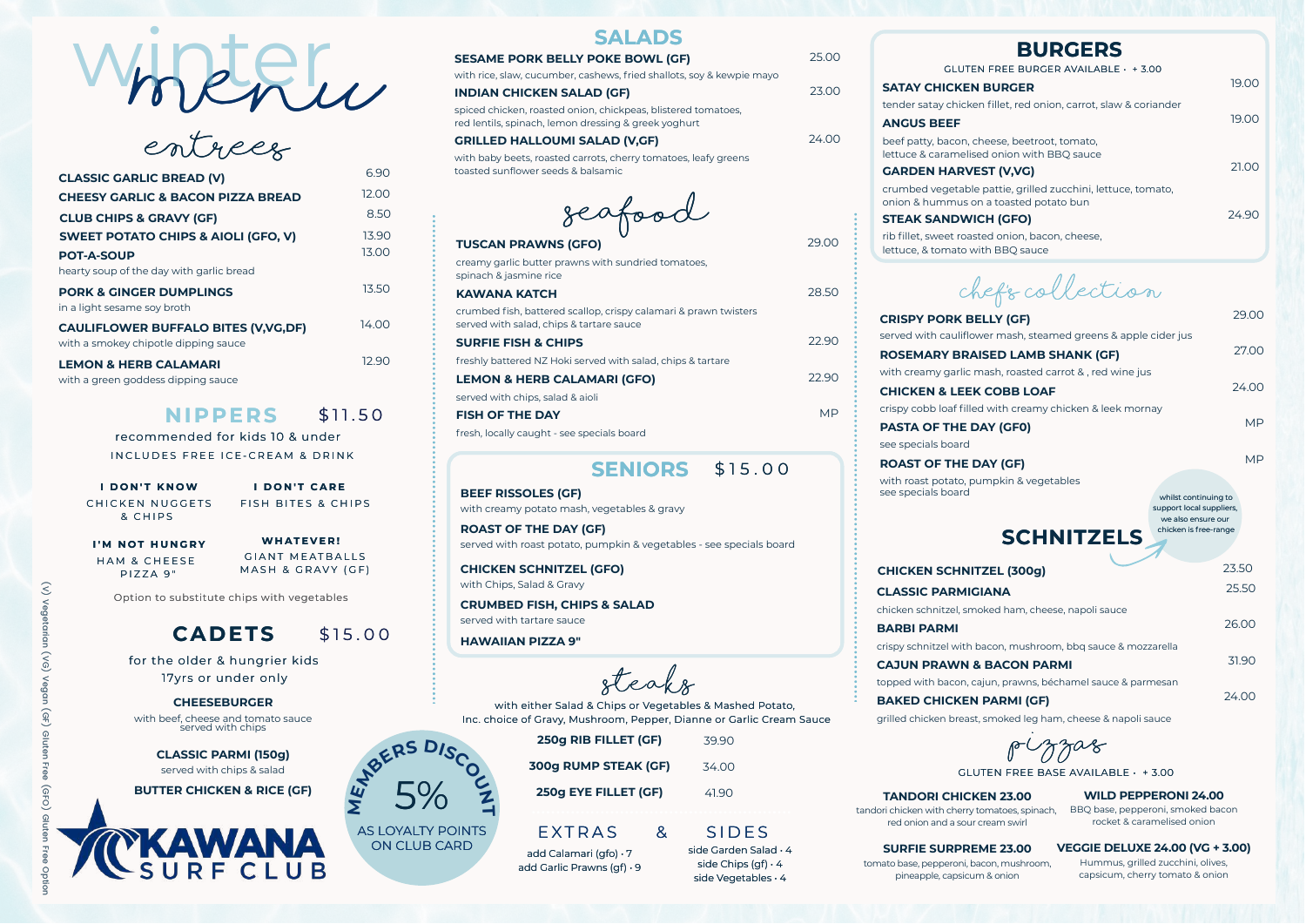recommended for kids 10 & under IN CLUDES FREE ICE-CREAM & DRINK

ENTREES

CHICKEN NUGGETS & C H I P S

Option to substitute chips with vegetables

## **CADETS** \$15.00

rib fillet, sweet roaste lettuce, & tomato with BBQ sauce

**CRISPY PORK BEL** served with cauliflowe  $ROSEMARY BRAIS$ with creamy garlic ma **CHICKEN & LEEK C** crispy cobb loaf filled

**BEEF RISSOLES (GF)** with creamy potato mash, vegetables & gravy

**ROAST OF THE DAY (GF)** served with roast potato, pumpkin & vegetables - see specials board

| <b>BURGERS</b>                                                    |       |
|-------------------------------------------------------------------|-------|
| $FREE$ BURGER AVAILABLE $+3.00$                                   |       |
| <b>SURGER</b>                                                     | 19.00 |
| fillet, red onion, carrot, slaw & coriander                       | 19.00 |
| ese, beetroot, tomato,<br>onion with BBQ sauce<br><b>T (V,VG)</b> | 21.00 |
| attie, grilled zucchini, lettuce, tomato,<br>a toasted potato bun | 24.90 |
| 1 (GFO)                                                           |       |
| d onion, bacon, cheese,                                           |       |

**CHICKEN SCHNITZEL (GFO)** with Chips, Salad & Gravy

**CRUMBED FISH, CHIPS & SALAD** served with tartare sauce

**HAWAIIAN PIZZA 9"**

### **ANGUS BEEF**

beef patty, bacon, che lettuce & caramelised

> **PASTA OF THE DAY** see specials board

| 690   |
|-------|
| 12.00 |
| 8.50  |
| 13.90 |
| 13.00 |
|       |
| 13.50 |
| 14 OO |
| 12 90 |
|       |

## **SALADS**

## **SESAME PORK BELLY POKE BOWL (GF)**

with rice, slaw, cucumber, cashews, fried shallots, soy & kewpie mayo

25.00

## **INDIAN CHICKEN SALAD (GF)**

spiced chicken, roasted onion, chickpeas, blistered tomatoes, red lentils, spinach, lemon dressing & greek yoghurt

23.00



### **GRILLED HALLOUMI SALAD (V,GF)**

with baby beets, roasted carrots, cherry tomatoes, leafy greens toasted sunflower seeds & balsamic

24.00

### $$11.50$ **N IPPERS**

| EL (300g)                                                   | 23.50 |
|-------------------------------------------------------------|-------|
| <b>NA</b>                                                   | 25.50 |
| ed ham, cheese, napoli sauce                                | 26.00 |
| con, mushroom, bbq sauce & mozzarella<br><b>BACON PARMI</b> | 31.90 |
| in, prawns, béchamel sauce & parmesan<br><b>ARMI (GF)</b>   | 24.00 |

grilled chicken breast, smoked leg ham, cheese & napoli sauce

CHEF'S COLLECTION

| LY (GF)                                  | 29.00     |
|------------------------------------------|-----------|
| r mash, steamed greens & apple cider jus |           |
| <b>ED LAMB SHANK (GF)</b>                | 27.00     |
| ish, roasted carrot & , red wine jus     |           |
| <b>COBB LOAF</b>                         | 24.00     |
| with creamy chicken & leek mornay        |           |
| Y (GFO)                                  | <b>MP</b> |
|                                          |           |

**Σ E**

### \$ 1 5 . 0 0 **SENIORS**

FISH BITES & CHIPS **I D O N ' T K N OW I D O N ' T C A R E**

HAM & CHEESE PIZZA 9"

**GIANT MEATBALLS** MASH & GRAVY (GF) **I ' M N O T H U N G R Y WH A T E V E R !**

**ROAST OF THE DAY (GF)** with roast potato, pumpkin & vegetables see specials board

## **CLASSIC PARMIGIA** chicken schnitzel, smok **BARBI PARMI CHICKEN SCHNITZ**

crispy schnitzel with bad **CAJUN PRAWN & B** 

topped with bacon, caju

## **BAKED CHICKEN P**

MP

seafood

## **TUSCAN PRAWNS (GFO)**

creamy garlic butter prawns with sundried tomatoes, spinach & jasmine rice **KAWANA KATCH**

29.00

crumbed fish, battered scallop, crispy calamari & prawn twisters served with salad, chips & tartare sauce

28.50

### **SURFIE FISH & CHIPS**

freshly battered NZ Hoki served with salad, chips & tartare

22.90

**LEMON & HERB CALAMARI (GFO)** served with chips, salad & aioli

22.90

**FISH OF THE DAY**

fresh, locally caught - see specials board

MP

### **GARDEN HARVES**

crumbed vegetable p onion & hummus on a

### **STEAK SANDWICH**

with either Salad & Chips or Vegetables & Mashed Potato, Inc. choice of Gravy, Mushroom, Pepper, Dianne or Garlic Cream Sauce

| whilst continuing to     |
|--------------------------|
| support local suppliers, |
| we also ensure our       |
| chicken is free-range    |
|                          |

| 250g RIB FILLET (GF) | 3990  |
|----------------------|-------|
| 300g RUMP STEAK (GF) | 34.00 |
| 250g EYE FILLET (GF) | 41.90 |

## EXTRAS & SIDES

steaks

### **CHEESEBURGER**

with beef, cheese and tomato sauce served with chips

> **CLASSIC PARMI (150g)** served with chips & salad

**BUTTER CHICKEN & RICE (GF)**



add Calamari (gfo) • 7 add Garlic Prawns (gf) • 9

side Garden Salad • 4 side Chips (gf)  $\cdot$  4 side Vegetables • 4

### **GLUTEN**

### **SATAY CHICKEN B**

tender satay chicken

PIZZAS

**WILD PEPPERONI 24.00** BBQ base, pepperoni, smoked bacon rocket & caramelised onion

for the older & hungrier kids 17yrs or under only

> **VEGGIE DELUXE 24.00 (VG + 3.00)** Hummus, grilled zucchini, olives, capsicum, cherry tomato & onion

**TANDORI CHICKEN 23.00** tandori chicken with cherry tomatoes, spinach, red onion and a sour cream swirl

## **SURFIE SURPREME 23.00**

tomato base, pepperoni, bacon, mushroom, pineapple, capsicum & onion

GLUTEN FREE BASE AVAILABLE • + 3.00

AS LOYALTY POINTS ON CLUB CARD

5%

**E**<br>M<sub>P</sub>ERS DISCOC

**T**

Menu winter